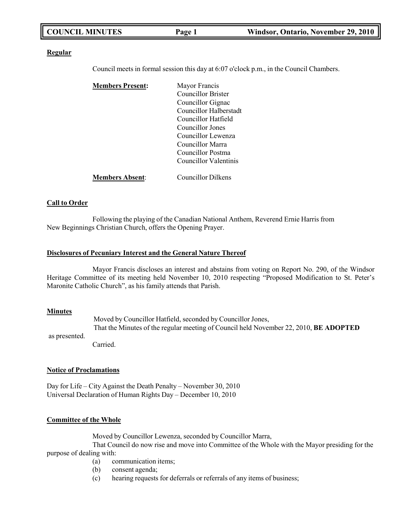| <b>COUNCIL MINUTES</b> | Page 1 | Windsor, Ontario, November 29, 2010 |
|------------------------|--------|-------------------------------------|
|                        |        |                                     |

#### **Regular**

Council meets in formal session this day at 6:07 o'clock p.m., in the Council Chambers.

| <b>Members Present:</b> | Mayor Francis             |
|-------------------------|---------------------------|
|                         | Councillor Brister        |
|                         | Councillor Gignac         |
|                         | Councillor Halberstadt    |
|                         | Councillor Hatfield       |
|                         | Councillor Jones          |
|                         | Councillor Lewenza        |
|                         | Councillor Marra          |
|                         | Councillor Postma         |
|                         | Councillor Valentinis     |
| <b>Members Absent:</b>  | <b>Councillor Dilkens</b> |

### **Call to Order**

Following the playing of the Canadian National Anthem, Reverend Ernie Harris from New Beginnings Christian Church, offers the Opening Prayer.

#### **Disclosures of Pecuniary Interest and the General Nature Thereof**

Mayor Francis discloses an interest and abstains from voting on Report No. 290, of the Windsor Heritage Committee of its meeting held November 10, 2010 respecting "Proposed Modification to St. Peter's Maronite Catholic Church", as his family attends that Parish.

#### **Minutes**

as presented. Moved by Councillor Hatfield, seconded by Councillor Jones, That the Minutes of the regular meeting of Council held November 22, 2010, **BE ADOPTED**

Carried.

#### **Notice of Proclamations**

Day for Life – City Against the Death Penalty – November 30, 2010 Universal Declaration of Human Rights Day – December 10, 2010

### **Committee of the Whole**

Moved by Councillor Lewenza, seconded by Councillor Marra,

That Council do now rise and move into Committee of the Whole with the Mayor presiding for the purpose of dealing with:

- (a) communication items;
- (b) consent agenda;
- (c) hearing requests for deferrals or referrals of any items of business;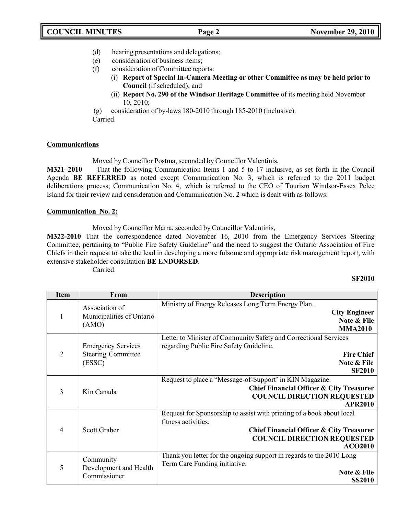- (d) hearing presentations and delegations;
- (e) consideration of business items;
- (f) consideration of Committee reports:
	- (i) **Report of Special In-Camera Meeting or other Committee as may be held prior to Council** (if scheduled); and
	- (ii) **Report No. 290 of the Windsor Heritage Committee** of its meeting held November 10, 2010;

(g) consideration of by-laws 180-2010 through 185-2010 (inclusive). Carried.

# **Communications**

Moved by Councillor Postma, seconded by Councillor Valentinis,

**M321–2010** That the following Communication Items 1 and 5 to 17 inclusive, as set forth in the Council Agenda **BE REFERRED** as noted except Communication No. 3, which is referred to the 2011 budget deliberations process; Communication No. 4, which is referred to the CEO of Tourism Windsor-Essex Pelee Island for their review and consideration and Communication No. 2 which is dealt with as follows:

# **Communication No. 2:**

Moved by Councillor Marra, seconded by Councillor Valentinis,

**M322-2010** That the correspondence dated November 16, 2010 from the Emergency Services Steering Committee, pertaining to "Public Fire Safety Guideline" and the need to suggest the Ontario Association of Fire Chiefs in their request to take the lead in developing a more fulsome and appropriate risk management report, with extensive stakeholder consultation **BE ENDORSED**.

Carried.

# **SF2010**

| <b>Item</b>    | From                                                             | <b>Description</b>                                                                                                                                                                                          |
|----------------|------------------------------------------------------------------|-------------------------------------------------------------------------------------------------------------------------------------------------------------------------------------------------------------|
| 1              | Association of<br>Municipalities of Ontario<br>(AMO)             | Ministry of Energy Releases Long Term Energy Plan.<br><b>City Engineer</b><br>Note & File<br><b>MMA2010</b>                                                                                                 |
| $\overline{2}$ | <b>Emergency Services</b><br><b>Steering Committee</b><br>(ESSC) | Letter to Minister of Community Safety and Correctional Services<br>regarding Public Fire Safety Guideline.<br><b>Fire Chief</b><br>Note & File<br><b>SF2010</b>                                            |
| 3              | Kin Canada                                                       | Request to place a "Message-of-Support' in KIN Magazine.<br><b>Chief Financial Officer &amp; City Treasurer</b><br><b>COUNCIL DIRECTION REQUESTED</b><br><b>APR2010</b>                                     |
| 4              | <b>Scott Graber</b>                                              | Request for Sponsorship to assist with printing of a book about local<br>fitness activities.<br><b>Chief Financial Officer &amp; City Treasurer</b><br><b>COUNCIL DIRECTION REQUESTED</b><br><b>ACO2010</b> |
| 5              | Community<br>Development and Health<br>Commissioner              | Thank you letter for the ongoing support in regards to the 2010 Long<br>Term Care Funding initiative.<br>Note & File<br><b>SS2010</b>                                                                       |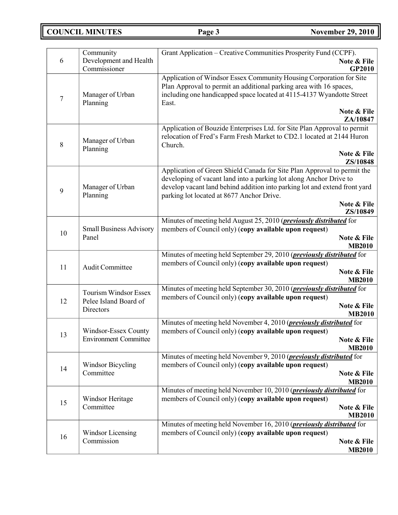**COUNCIL MINUTES Page 3 November 29, 2010**

| 6      | Community<br>Development and Health            | Grant Application – Creative Communities Prosperity Fund (CCPF).<br>Note & File                                                               |
|--------|------------------------------------------------|-----------------------------------------------------------------------------------------------------------------------------------------------|
|        | Commissioner                                   | GP2010                                                                                                                                        |
|        |                                                | Application of Windsor Essex Community Housing Corporation for Site<br>Plan Approval to permit an additional parking area with 16 spaces,     |
|        | Manager of Urban                               | including one handicapped space located at 4115-4137 Wyandotte Street                                                                         |
| $\tau$ | Planning                                       | East.                                                                                                                                         |
|        |                                                | Note & File<br>ZA/10847                                                                                                                       |
|        |                                                | Application of Bouzide Enterprises Ltd. for Site Plan Approval to permit                                                                      |
| 8      | Manager of Urban                               | relocation of Fred's Farm Fresh Market to CD2.1 located at 2144 Huron<br>Church.                                                              |
|        | Planning                                       | Note & File                                                                                                                                   |
|        |                                                | ZS/10848                                                                                                                                      |
|        |                                                | Application of Green Shield Canada for Site Plan Approval to permit the<br>developing of vacant land into a parking lot along Anchor Drive to |
| 9      | Manager of Urban                               | develop vacant land behind addition into parking lot and extend front yard                                                                    |
|        | Planning                                       | parking lot located at 8677 Anchor Drive.                                                                                                     |
|        |                                                | Note & File<br>ZS/10849                                                                                                                       |
|        |                                                | Minutes of meeting held August 25, 2010 ( <i>previously distributed</i> for                                                                   |
| 10     | <b>Small Business Advisory</b><br>Panel        | members of Council only) (copy available upon request)                                                                                        |
|        |                                                | Note & File<br><b>MB2010</b>                                                                                                                  |
|        |                                                | Minutes of meeting held September 29, 2010 ( <i>previously distributed</i> for                                                                |
| 11     | <b>Audit Committee</b>                         | members of Council only) (copy available upon request)                                                                                        |
|        |                                                | Note & File<br><b>MB2010</b>                                                                                                                  |
|        |                                                | Minutes of meeting held September 30, 2010 (previously distributed for                                                                        |
| 12     | Tourism Windsor Essex<br>Pelee Island Board of | members of Council only) (copy available upon request)                                                                                        |
|        | Directors                                      | Note & File                                                                                                                                   |
|        |                                                | <b>MB2010</b><br>Minutes of meeting held November 4, 2010 ( <i>previously distributed</i> for                                                 |
|        | Windsor-Essex County                           | members of Council only) (copy available upon request)                                                                                        |
| 13     | <b>Environment Committee</b>                   | Note & File                                                                                                                                   |
|        |                                                | <b>MB2010</b>                                                                                                                                 |
|        | <b>Windsor Bicycling</b>                       | Minutes of meeting held November 9, 2010 ( <i>previously distributed</i> for<br>members of Council only) (copy available upon request)        |
| 14     | Committee                                      | Note & File                                                                                                                                   |
|        |                                                | <b>MB2010</b>                                                                                                                                 |
|        |                                                | Minutes of meeting held November 10, 2010 ( <i>previously distributed</i> for                                                                 |
| 15     | Windsor Heritage<br>Committee                  | members of Council only) (copy available upon request)<br>Note & File                                                                         |
|        |                                                | <b>MB2010</b>                                                                                                                                 |
|        |                                                | Minutes of meeting held November 16, 2010 ( <i>previously distributed</i> for                                                                 |
| 16     | Windsor Licensing                              | members of Council only) (copy available upon request)                                                                                        |
|        | Commission                                     | Note & File<br><b>MB2010</b>                                                                                                                  |
|        |                                                |                                                                                                                                               |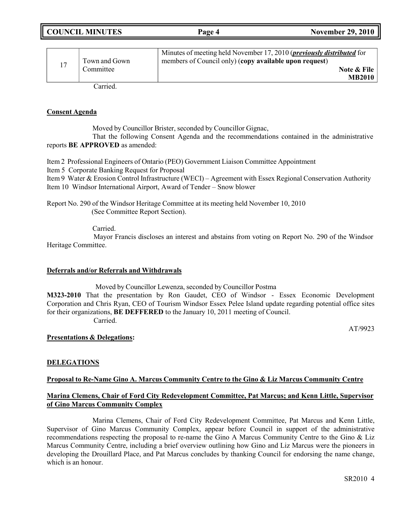|--|

| Town and Gown<br>Committee | Minutes of meeting held November 17, 2010 ( <i>previously distributed</i> for<br>members of Council only) (copy available upon request)<br>Note & File<br><b>MB2010</b> |
|----------------------------|-------------------------------------------------------------------------------------------------------------------------------------------------------------------------|
| $\sim$                     |                                                                                                                                                                         |

Carried.

## **Consent Agenda**

Moved by Councillor Brister, seconded by Councillor Gignac,

That the following Consent Agenda and the recommendations contained in the administrative reports **BE APPROVED** as amended:

Item 2 Professional Engineers of Ontario (PEO) Government Liaison Committee Appointment

Item 5 Corporate Banking Request for Proposal

Item 9 Water & Erosion Control Infrastructure (WECI) – Agreement with Essex Regional Conservation Authority Item 10 Windsor International Airport, Award of Tender – Snow blower

Report No. 290 of the Windsor Heritage Committee at its meeting held November 10, 2010 (See Committee Report Section).

Carried.

Mayor Francis discloses an interest and abstains from voting on Report No. 290 of the Windsor Heritage Committee.

# **Deferrals and/or Referrals and Withdrawals**

Moved by Councillor Lewenza, seconded by Councillor Postma

**M323-2010** That the presentation by Ron Gaudet, CEO of Windsor - Essex Economic Development Corporation and Chris Ryan, CEO of Tourism Windsor Essex Pelee Island update regarding potential office sites for their organizations, **BE DEFFERED** to the January 10, 2011 meeting of Council. Carried.

AT/9923

# **Presentations & Delegations:**

# **DELEGATIONS**

# **Proposal to Re-Name Gino A. Marcus Community Centre to the Gino & Liz Marcus Community Centre**

# **Marina Clemens, Chair of Ford City Redevelopment Committee, Pat Marcus; and Kenn Little, Supervisor of Gino Marcus Community Complex**

Marina Clemens, Chair of Ford City Redevelopment Committee, Pat Marcus and Kenn Little, Supervisor of Gino Marcus Community Complex, appear before Council in support of the administrative recommendations respecting the proposal to re-name the Gino A Marcus Community Centre to the Gino & Liz Marcus Community Centre, including a brief overview outlining how Gino and Liz Marcus were the pioneers in developing the Drouillard Place, and Pat Marcus concludes by thanking Council for endorsing the name change, which is an honour.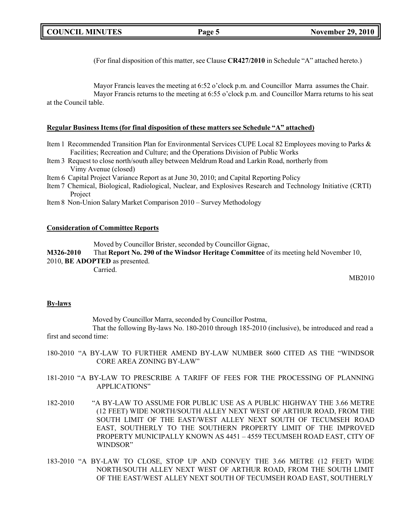(For final disposition of this matter, see Clause **CR427/2010** in Schedule "A" attached hereto.)

Mayor Francis leaves the meeting at 6:52 o'clock p.m. and Councillor Marra assumes the Chair. Mayor Francis returns to the meeting at 6:55 o'clock p.m. and Councillor Marra returns to his seat at the Council table.

### **Regular Business Items (for final disposition of these matters see Schedule "A" attached)**

- Item 1 Recommended Transition Plan for Environmental Services CUPE Local 82 Employees moving to Parks & Facilities; Recreation and Culture; and the Operations Division of Public Works
- Item 3 Request to close north/south alley between Meldrum Road and Larkin Road, northerly from Vimy Avenue (closed)
- Item 6 Capital Project Variance Report as at June 30, 2010; and Capital Reporting Policy
- Item 7 Chemical, Biological, Radiological, Nuclear, and Explosives Research and Technology Initiative (CRTI) Project
- Item 8 Non-Union Salary Market Comparison 2010 Survey Methodology

#### **Consideration of Committee Reports**

Moved by Councillor Brister, seconded by Councillor Gignac,

**M326-2010** That **Report No. 290 of the Windsor Heritage Committee** of its meeting held November 10, 2010, **BE ADOPTED** as presented.

Carried.

MB2010

### **By-laws**

Moved by Councillor Marra, seconded by Councillor Postma,

That the following By-laws No. 180-2010 through 185-2010 (inclusive), be introduced and read a first and second time:

- 180-2010 "A BY-LAW TO FURTHER AMEND BY-LAW NUMBER 8600 CITED AS THE "WINDSOR CORE AREA ZONING BY-LAW"
- 181-2010 "A BY-LAW TO PRESCRIBE A TARIFF OF FEES FOR THE PROCESSING OF PLANNING APPLICATIONS"
- 182-2010 "A BY-LAW TO ASSUME FOR PUBLIC USE AS A PUBLIC HIGHWAY THE 3.66 METRE (12 FEET) WIDE NORTH/SOUTH ALLEY NEXT WEST OF ARTHUR ROAD, FROM THE SOUTH LIMIT OF THE EAST/WEST ALLEY NEXT SOUTH OF TECUMSEH ROAD EAST, SOUTHERLY TO THE SOUTHERN PROPERTY LIMIT OF THE IMPROVED PROPERTY MUNICIPALLY KNOWN AS 4451 – 4559 TECUMSEH ROAD EAST, CITY OF WINDSOR"
- 183-2010 "A BY-LAW TO CLOSE, STOP UP AND CONVEY THE 3.66 METRE (12 FEET) WIDE NORTH/SOUTH ALLEY NEXT WEST OF ARTHUR ROAD, FROM THE SOUTH LIMIT OF THE EAST/WEST ALLEY NEXT SOUTH OF TECUMSEH ROAD EAST, SOUTHERLY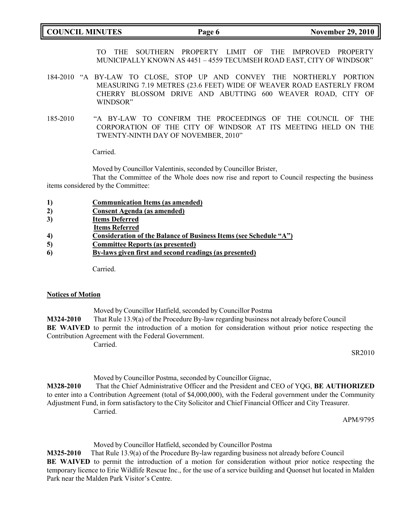**COUNCIL MINUTES Page 6 November 29, 2010**

TO THE SOUTHERN PROPERTY LIMIT OF THE IMPROVED PROPERTY MUNICIPALLY KNOWN AS 4451 – 4559 TECUMSEH ROAD EAST, CITY OF WINDSOR"

- 184-2010 "A BY-LAW TO CLOSE, STOP UP AND CONVEY THE NORTHERLY PORTION MEASURING 7.19 METRES (23.6 FEET) WIDE OF WEAVER ROAD EASTERLY FROM CHERRY BLOSSOM DRIVE AND ABUTTING 600 WEAVER ROAD, CITY OF WINDSOR"
- 185-2010 "A BY-LAW TO CONFIRM THE PROCEEDINGS OF THE COUNCIL OF THE CORPORATION OF THE CITY OF WINDSOR AT ITS MEETING HELD ON THE TWENTY-NINTH DAY OF NOVEMBER, 2010"

Carried.

Moved by Councillor Valentinis, seconded by Councillor Brister,

That the Committee of the Whole does now rise and report to Council respecting the business items considered by the Committee:

| 1) | <b>Communication Items (as amended)</b> |
|----|-----------------------------------------|
| 2) | Consent Agenda (as amended)             |

- **3) Items Deferred**
- **Items Referred**
- **4) Consideration of the Balance of Business Items (see Schedule "A")**
- **5) Committee Reports (as presented)**
- **6) By-laws given first and second readings (as presented)**

Carried.

### **Notices of Motion**

Moved by Councillor Hatfield, seconded by Councillor Postma **M324-2010** That Rule 13.9(a) of the Procedure By-law regarding business not already before Council **BE WAIVED** to permit the introduction of a motion for consideration without prior notice respecting the Contribution Agreement with the Federal Government.

Carried.

SR2010

Moved by Councillor Postma, seconded by Councillor Gignac,

**M328-2010** That the Chief Administrative Officer and the President and CEO of YQG, **BE AUTHORIZED** to enter into a Contribution Agreement (total of \$4,000,000), with the Federal government under the Community Adjustment Fund, in form satisfactory to the City Solicitor and Chief Financial Officer and City Treasurer. Carried.

APM/9795

Moved by Councillor Hatfield, seconded by Councillor Postma

**M325-2010** That Rule 13.9(a) of the Procedure By-law regarding business not already before Council **BE WAIVED** to permit the introduction of a motion for consideration without prior notice respecting the temporary licence to Erie Wildlife Rescue Inc., for the use of a service building and Quonset hut located in Malden Park near the Malden Park Visitor's Centre.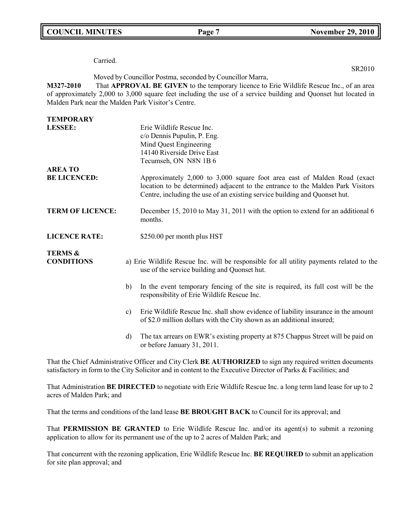**COUNCIL MINUTES Page 7 November 29, 2010**

SR2010

Carried.

Moved by Councillor Postma, seconded by Councillor Marra,

**M327-2010** That **APPROVAL BE GIVEN** to the temporary licence to Erie Wildlife Rescue Inc., of an area of approximately 2,000 to 3,000 square feet including the use of a service building and Quonset hut located in Malden Park near the Malden Park Visitor's Centre.

| <b>TEMPORARY</b>                        |               |                                                                                                                                                                                                                                           |
|-----------------------------------------|---------------|-------------------------------------------------------------------------------------------------------------------------------------------------------------------------------------------------------------------------------------------|
| <b>LESSEE:</b>                          |               | Erie Wildlife Rescue Inc.                                                                                                                                                                                                                 |
|                                         |               | c/o Dennis Pupulin, P. Eng.                                                                                                                                                                                                               |
|                                         |               | Mind Quest Engineering                                                                                                                                                                                                                    |
|                                         |               | 14140 Riverside Drive East                                                                                                                                                                                                                |
|                                         |               | Tecumseh, ON N8N 1B 6                                                                                                                                                                                                                     |
| <b>AREA TO</b>                          |               |                                                                                                                                                                                                                                           |
| <b>BE LICENCED:</b>                     |               | Approximately 2,000 to 3,000 square foot area east of Malden Road (exact<br>location to be determined) adjacent to the entrance to the Malden Park Visitors<br>Centre, including the use of an existing service building and Quonset hut. |
| <b>TERM OF LICENCE:</b>                 |               | December 15, 2010 to May 31, 2011 with the option to extend for an additional 6<br>months.                                                                                                                                                |
| <b>LICENCE RATE:</b>                    |               | \$250.00 per month plus HST                                                                                                                                                                                                               |
| <b>TERMS &amp;</b><br><b>CONDITIONS</b> |               | a) Erie Wildlife Rescue Inc. will be responsible for all utility payments related to the<br>use of the service building and Quonset hut.                                                                                                  |
|                                         | b)            | In the event temporary fencing of the site is required, its full cost will be the<br>responsibility of Erie Wildlife Rescue Inc.                                                                                                          |
|                                         | $\mathbf{c})$ | Erie Wildlife Rescue Inc. shall show evidence of liability insurance in the amount<br>of \$2.0 million dollars with the City shown as an additional insured;                                                                              |
|                                         | $\mathbf{d}$  | The tax arrears on EWR's existing property at 875 Chappus Street will be paid on<br>or before January 31, 2011.                                                                                                                           |
|                                         |               | $1 \alpha'$ at $1 \overline{m}$ intervalsements in $\alpha$                                                                                                                                                                               |

That the Chief Administrative Officer and City Clerk **BE AUTHORIZED** to sign any required written documents satisfactory in form to the City Solicitor and in content to the Executive Director of Parks & Facilities; and

That Administration **BE DIRECTED** to negotiate with Erie Wildlife Rescue Inc. a long term land lease for up to 2 acres of Malden Park; and

That the terms and conditions of the land lease **BE BROUGHT BACK** to Council for its approval; and

That **PERMISSION BE GRANTED** to Erie Wildlife Rescue Inc. and/or its agent(s) to submit a rezoning application to allow for its permanent use of the up to 2 acres of Malden Park; and

That concurrent with the rezoning application, Erie Wildlife Rescue Inc. **BE REQUIRED** to submit an application for site plan approval; and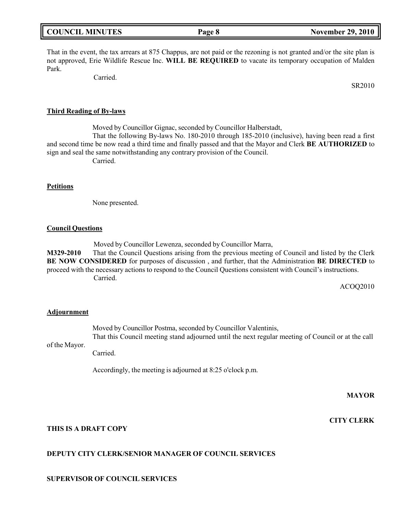| <b>COUNCIL MINUTES</b><br>Page 8 | <b>November 29, 2010</b> |
|----------------------------------|--------------------------|
|----------------------------------|--------------------------|

That in the event, the tax arrears at 875 Chappus, are not paid or the rezoning is not granted and/or the site plan is not approved, Erie Wildlife Rescue Inc. **WILL BE REQUIRED** to vacate its temporary occupation of Malden Park.

Carried.

SR2010

#### **Third Reading of By-laws**

Moved by Councillor Gignac, seconded by Councillor Halberstadt,

That the following By-laws No. 180-2010 through 185-2010 (inclusive), having been read a first and second time be now read a third time and finally passed and that the Mayor and Clerk **BE AUTHORIZED** to sign and seal the same notwithstanding any contrary provision of the Council. Carried.

## **Petitions**

None presented.

### **Council Questions**

Moved by Councillor Lewenza, seconded by Councillor Marra,

**M329-2010** That the Council Questions arising from the previous meeting of Council and listed by the Clerk **BE NOW CONSIDERED** for purposes of discussion , and further, that the Administration **BE DIRECTED** to proceed with the necessary actions to respond to the Council Questions consistent with Council's instructions. Carried.

ACOQ2010

#### **Adjournment**

of the Mayor. Moved by Councillor Postma, seconded by Councillor Valentinis, That this Council meeting stand adjourned until the next regular meeting of Council or at the call

Carried.

Accordingly, the meeting is adjourned at 8:25 o'clock p.m.

**MAYOR**

**CITY CLERK**

# **THIS IS A DRAFT COPY**

## **DEPUTY CITY CLERK/SENIOR MANAGER OF COUNCIL SERVICES**

### **SUPERVISOR OF COUNCIL SERVICES**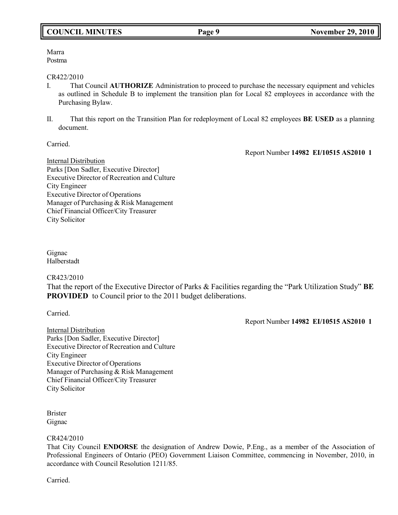# **COUNCIL MINUTES Page 9 November 29, 2010**

Marra Postma

## CR422/2010

- I. That Council **AUTHORIZE** Administration to proceed to purchase the necessary equipment and vehicles as outlined in Schedule B to implement the transition plan for Local 82 employees in accordance with the Purchasing Bylaw.
- II. That this report on the Transition Plan for redeployment of Local 82 employees **BE USED** as a planning document.

Carried.

Report Number **14982 EI/10515 AS2010 1**

Internal Distribution Parks [Don Sadler, Executive Director] Executive Director of Recreation and Culture City Engineer Executive Director of Operations Manager of Purchasing & Risk Management Chief Financial Officer/City Treasurer City Solicitor

Gignac Halberstadt

# CR423/2010

That the report of the Executive Director of Parks & Facilities regarding the "Park Utilization Study" **BE PROVIDED** to Council prior to the 2011 budget deliberations.

Carried.

Report Number **14982 EI/10515 AS2010 1**

Internal Distribution Parks [Don Sadler, Executive Director] Executive Director of Recreation and Culture City Engineer Executive Director of Operations Manager of Purchasing & Risk Management Chief Financial Officer/City Treasurer City Solicitor

Brister Gignac

# CR424/2010

That City Council **ENDORSE** the designation of Andrew Dowie, P.Eng., as a member of the Association of Professional Engineers of Ontario (PEO) Government Liaison Committee, commencing in November, 2010, in accordance with Council Resolution 1211/85.

Carried.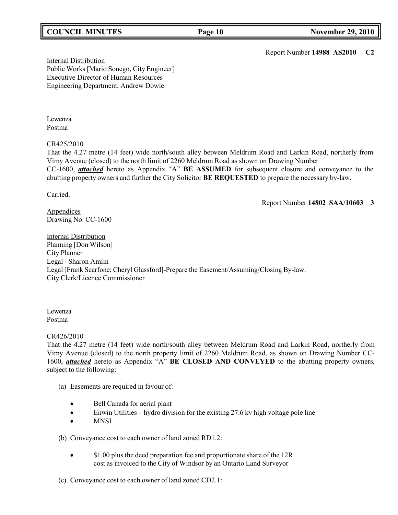# **COUNCIL MINUTES Page 10 November 29, 2010**

Report Number **14988 AS2010 C2**

Internal Distribution Public Works [Mario Sonego, City Engineer] Executive Director of Human Resources Engineering Department, Andrew Dowie

Lewenza Postma

CR425/2010

That the 4.27 metre (14 feet) wide north/south alley between Meldrum Road and Larkin Road, northerly from Vimy Avenue (closed) to the north limit of 2260 Meldrum Road as shown on Drawing Number CC-1600, *attached* hereto as Appendix "A" **BE ASSUMED** for subsequent closure and conveyance to the abutting property owners and further the City Solicitor **BE REQUESTED** to prepare the necessary by-law.

Carried.

Report Number **14802 SAA/10603 3**

**Appendices** Drawing No. CC-1600

Internal Distribution Planning [Don Wilson] City Planner Legal - Sharon Amlin Legal [Frank Scarfone; Cheryl Glassford]-Prepare the Easement/Assuming/Closing By-law. City Clerk/Licence Commissioner

Lewenza Postma

CR426/2010

That the 4.27 metre (14 feet) wide north/south alley between Meldrum Road and Larkin Road, northerly from Vimy Avenue (closed) to the north property limit of 2260 Meldrum Road, as shown on Drawing Number CC-1600, *attached* hereto as Appendix "A" **BE CLOSED AND CONVEYED** to the abutting property owners, subject to the following:

- (a) Easements are required in favour of:
	- Bell Canada for aerial plant
	- Enwin Utilities hydro division for the existing 27.6 kv high voltage pole line
	- MNSI

(b) Conveyance cost to each owner of land zoned RD1.2:

- \$1.00 plus the deed preparation fee and proportionate share of the 12R cost as invoiced to the City of Windsor by an Ontario Land Surveyor
- (c) Conveyance cost to each owner of land zoned CD2.1: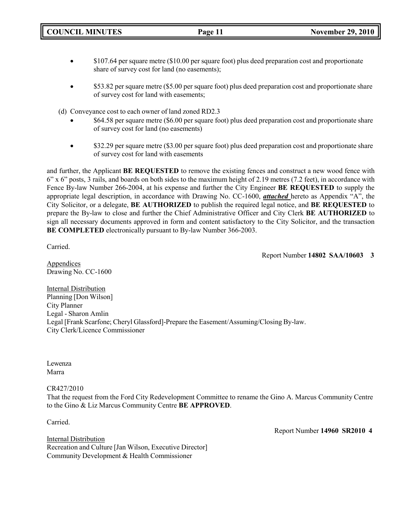**COUNCIL MINUTES Page 11 November 29, 2010**

- $$107.64$  per square metre (\$10.00 per square foot) plus deed preparation cost and proportionate share of survey cost for land (no easements);
- \$53.82 per square metre (\$5.00 per square foot) plus deed preparation cost and proportionate share of survey cost for land with easements;
- (d) Conveyance cost to each owner of land zoned RD2.3
	- \$64.58 per square metre (\$6.00 per square foot) plus deed preparation cost and proportionate share of survey cost for land (no easements)
	- \$32.29 per square metre (\$3.00 per square foot) plus deed preparation cost and proportionate share of survey cost for land with easements

and further, the Applicant **BE REQUESTED** to remove the existing fences and construct a new wood fence with 6" x 6" posts, 3 rails, and boards on both sides to the maximum height of 2.19 metres (7.2 feet), in accordance with Fence By-law Number 266-2004, at his expense and further the City Engineer **BE REQUESTED** to supply the appropriate legal description, in accordance with Drawing No. CC-1600, *attached* hereto as Appendix "A", the City Solicitor, or a delegate, **BE AUTHORIZED** to publish the required legal notice, and **BE REQUESTED** to prepare the By-law to close and further the Chief Administrative Officer and City Clerk **BE AUTHORIZED** to sign all necessary documents approved in form and content satisfactory to the City Solicitor, and the transaction **BE COMPLETED** electronically pursuant to By-law Number 366-2003.

Carried.

Report Number **14802 SAA/10603 3**

**Appendices** Drawing No. CC-1600

**Internal Distribution** Planning [Don Wilson] City Planner Legal - Sharon Amlin Legal [Frank Scarfone; Cheryl Glassford]-Prepare the Easement/Assuming/Closing By-law. City Clerk/Licence Commissioner

Lewenza Marra

CR427/2010

That the request from the Ford City Redevelopment Committee to rename the Gino A. Marcus Community Centre to the Gino & Liz Marcus Community Centre **BE APPROVED**.

Carried.

Report Number **14960 SR2010 4**

Internal Distribution Recreation and Culture [Jan Wilson, Executive Director] Community Development & Health Commissioner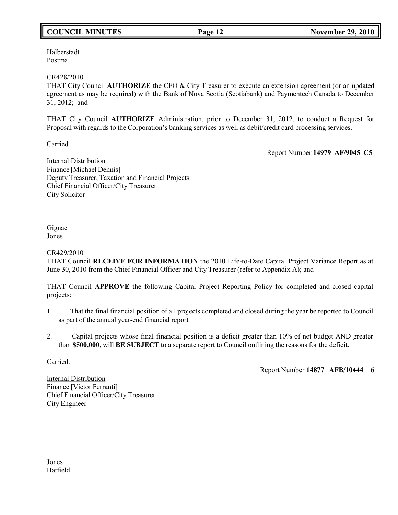# **COUNCIL MINUTES Page 12 November 29, 2010**

Halberstadt Postma

## CR428/2010

THAT City Council **AUTHORIZE** the CFO & City Treasurer to execute an extension agreement (or an updated agreement as may be required) with the Bank of Nova Scotia (Scotiabank) and Paymentech Canada to December 31, 2012; and

THAT City Council **AUTHORIZE** Administration, prior to December 31, 2012, to conduct a Request for Proposal with regards to the Corporation's banking services as well as debit/credit card processing services.

Carried.

Report Number **14979 AF/9045 C5**

Internal Distribution Finance [Michael Dennis] Deputy Treasurer, Taxation and Financial Projects Chief Financial Officer/City Treasurer City Solicitor

Gignac Jones

CR429/2010

THAT Council **RECEIVE FOR INFORMATION** the 2010 Life-to-Date Capital Project Variance Report as at June 30, 2010 from the Chief Financial Officer and City Treasurer (refer to Appendix A); and

THAT Council **APPROVE** the following Capital Project Reporting Policy for completed and closed capital projects:

- 1. That the final financial position of all projects completed and closed during the year be reported to Council as part of the annual year-end financial report
- 2. Capital projects whose final financial position is a deficit greater than 10% of net budget AND greater than **\$500,000**, will **BE SUBJECT** to a separate report to Council outlining the reasons for the deficit.

Carried.

Report Number **14877 AFB/10444 6**

Internal Distribution Finance [Victor Ferranti] Chief Financial Officer/City Treasurer City Engineer

Jones Hatfield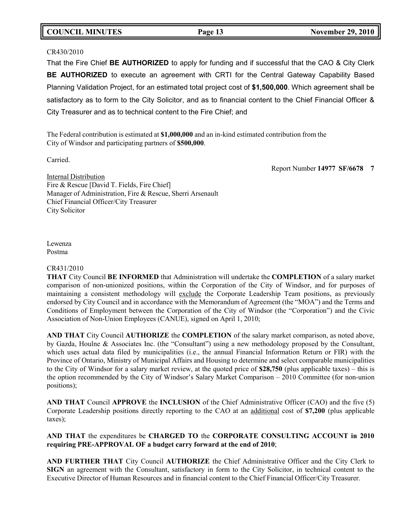# **COUNCIL MINUTES Page 13 November 29, 2010**

## CR430/2010

That the Fire Chief **BE AUTHORIZED** to apply for funding and if successful that the CAO & City Clerk **BE AUTHORIZED** to execute an agreement with CRTI for the Central Gateway Capability Based Planning Validation Project, for an estimated total project cost of **\$1,500,000**. Which agreement shall be satisfactory as to form to the City Solicitor, and as to financial content to the Chief Financial Officer & City Treasurer and as to technical content to the Fire Chief; and

The Federal contribution is estimated at **\$1,000,000** and an in-kind estimated contribution from the City of Windsor and participating partners of **\$500,000**.

Carried.

Report Number **14977 SF/6678 7**

Internal Distribution Fire & Rescue [David T. Fields, Fire Chief] Manager of Administration, Fire & Rescue, Sherri Arsenault Chief Financial Officer/City Treasurer City Solicitor

Lewenza Postma

# CR431/2010

**THAT** City Council **BE INFORMED** that Administration will undertake the **COMPLETION** of a salary market comparison of non-unionized positions, within the Corporation of the City of Windsor, and for purposes of maintaining a consistent methodology will exclude the Corporate Leadership Team positions, as previously endorsed by City Council and in accordance with the Memorandum of Agreement (the "MOA") and the Terms and Conditions of Employment between the Corporation of the City of Windsor (the "Corporation") and the Civic Association of Non-Union Employees (CANUE), signed on April 1, 2010;

**AND THAT** City Council **AUTHORIZE** the **COMPLETION** of the salary market comparison, as noted above, by Gazda, Houlne & Associates Inc. (the "Consultant") using a new methodology proposed by the Consultant, which uses actual data filed by municipalities (i.e., the annual Financial Information Return or FIR) with the Province of Ontario, Ministry of Municipal Affairs and Housing to determine and select comparable municipalities to the City of Windsor for a salary market review, at the quoted price of **\$28,750** (plus applicable taxes) – this is the option recommended by the City of Windsor's Salary Market Comparison – 2010 Committee (for non-union positions);

**AND THAT** Council **APPROVE** the **INCLUSION** of the Chief Administrative Officer (CAO) and the five (5) Corporate Leadership positions directly reporting to the CAO at an additional cost of **\$7,200** (plus applicable taxes);

# **AND THAT** the expenditures be **CHARGED TO** the **CORPORATE CONSULTING ACCOUNT in 2010 requiring PRE-APPROVAL OF a budget carry forward at the end of 2010**;

**AND FURTHER THAT** City Council **AUTHORIZE** the Chief Administrative Officer and the City Clerk to **SIGN** an agreement with the Consultant, satisfactory in form to the City Solicitor, in technical content to the Executive Director of Human Resources and in financial content to the Chief Financial Officer/City Treasurer.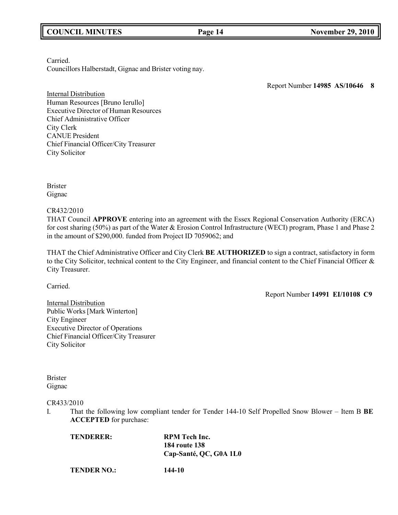# **COUNCIL MINUTES Page 14 November 29, 2010**

Carried.

Councillors Halberstadt, Gignac and Brister voting nay.

Report Number **14985 AS/10646 8**

**Internal Distribution** Human Resources [Bruno Ierullo] Executive Director of Human Resources Chief Administrative Officer City Clerk CANUE President Chief Financial Officer/City Treasurer City Solicitor

Brister Gignac

CR432/2010

THAT Council **APPROVE** entering into an agreement with the Essex Regional Conservation Authority (ERCA) for cost sharing (50%) as part of the Water & Erosion Control Infrastructure (WECI) program, Phase 1 and Phase 2 in the amount of \$290,000. funded from Project ID 7059062; and

THAT the Chief Administrative Officer and City Clerk **BE AUTHORIZED** to sign a contract, satisfactory in form to the City Solicitor, technical content to the City Engineer, and financial content to the Chief Financial Officer & City Treasurer.

Carried.

Report Number **14991 EI/10108 C9**

**Internal Distribution** Public Works[Mark Winterton] City Engineer Executive Director of Operations Chief Financial Officer/City Treasurer City Solicitor

Brister Gignac

### CR433/2010

I. That the following low compliant tender for Tender 144-10 Self Propelled Snow Blower – Item B **BE ACCEPTED** for purchase:

| TENDERER:          | <b>RPM</b> Tech Inc.   |
|--------------------|------------------------|
|                    | <b>184 route 138</b>   |
|                    | Cap-Santé, QC, G0A 1L0 |
| <b>TENDER NO.:</b> | 144-10                 |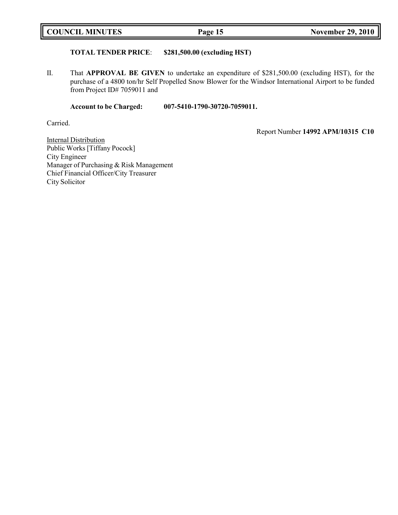# **TOTAL TENDER PRICE**: **\$281,500.00 (excluding HST)**

II. That **APPROVAL BE GIVEN** to undertake an expenditure of \$281,500.00 (excluding HST), for the purchase of a 4800 ton/hr Self Propelled Snow Blower for the Windsor International Airport to be funded from Project ID# 7059011 and

**Account to be Charged: 007-5410-1790-30720-7059011.**

Carried.

Report Number **14992 APM/10315 C10**

**Internal Distribution** Public Works [Tiffany Pocock] City Engineer Manager of Purchasing & Risk Management Chief Financial Officer/City Treasurer City Solicitor